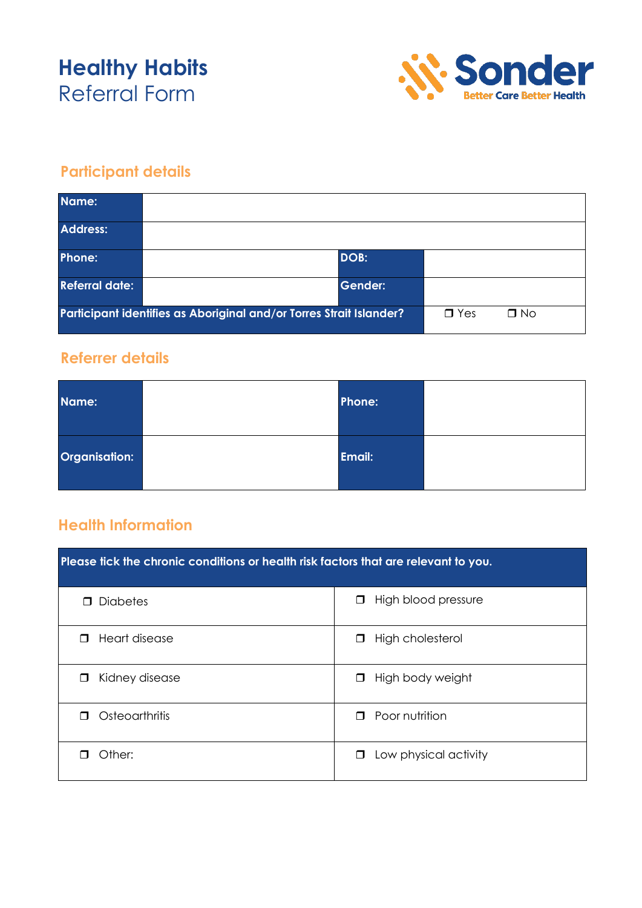# **Healthy Habits** Referral Form



## **Participant details**

| Name:                                                               |  |                |           |  |
|---------------------------------------------------------------------|--|----------------|-----------|--|
| <b>Address:</b>                                                     |  |                |           |  |
| Phone:                                                              |  | DOB:           |           |  |
| <b>Referral date:</b>                                               |  | <b>Gender:</b> |           |  |
| Participant identifies as Aboriginal and/or Torres Strait Islander? |  | $\Box$ Yes     | $\Box$ No |  |

#### **Referrer details**

| Name:         | Phone: |  |
|---------------|--------|--|
| Organisation: | Email: |  |

### **Health Information**

| Please tick the chronic conditions or health risk factors that are relevant to you. |                                 |  |  |  |
|-------------------------------------------------------------------------------------|---------------------------------|--|--|--|
| <b>Diabetes</b>                                                                     | High blood pressure<br>$\Box$   |  |  |  |
| Heart disease                                                                       | High cholesterol                |  |  |  |
| ⊓                                                                                   | □                               |  |  |  |
| Kidney disease                                                                      | High body weight                |  |  |  |
| ⊓                                                                                   | $\Box$                          |  |  |  |
| Osteoarthritis                                                                      | Poor nutrition                  |  |  |  |
| П                                                                                   | $\Box$                          |  |  |  |
| Other:                                                                              | Low physical activity<br>$\Box$ |  |  |  |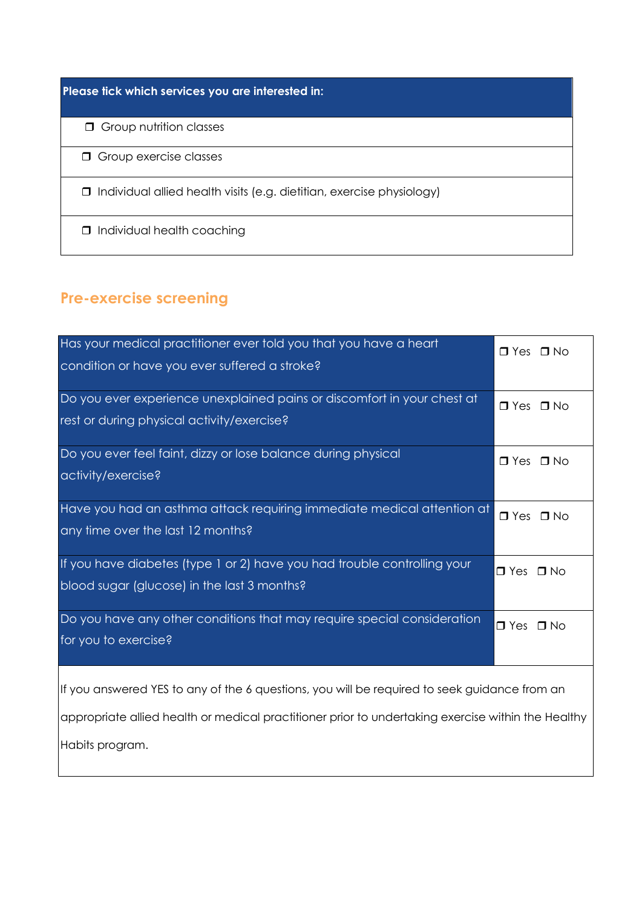**Please tick which services you are interested in:**

**G** Group nutrition classes

**O** Group exercise classes

Individual allied health visits (e.g. dietitian, exercise physiology)

 $\Box$  Individual health coaching

### **Pre-exercise screening**

| Has your medical practitioner ever told you that you have a heart<br>condition or have you ever suffered a stroke?                                                                                 | $\Box$ Yes $\Box$ No |  |  |  |
|----------------------------------------------------------------------------------------------------------------------------------------------------------------------------------------------------|----------------------|--|--|--|
| Do you ever experience unexplained pains or discomfort in your chest at<br>rest or during physical activity/exercise?                                                                              | $\Box$ Yes $\Box$ No |  |  |  |
| Do you ever feel faint, dizzy or lose balance during physical<br>activity/exercise?                                                                                                                | $\Box$ Yes $\Box$ No |  |  |  |
| Have you had an asthma attack requiring immediate medical attention at<br>any time over the last 12 months?                                                                                        | $\Box$ Yes $\Box$ No |  |  |  |
| If you have diabetes (type 1 or 2) have you had trouble controlling your<br>blood sugar (glucose) in the last 3 months?                                                                            | $\Box$ Yes $\Box$ No |  |  |  |
| Do you have any other conditions that may require special consideration<br>for you to exercise?                                                                                                    | $\Box$ Yes $\Box$ No |  |  |  |
| If you answered YES to any of the 6 questions, you will be required to seek guidance from an<br>appropriate allied health or medical practitioner prior to undertaking exercise within the Healthy |                      |  |  |  |
| Habits program.                                                                                                                                                                                    |                      |  |  |  |